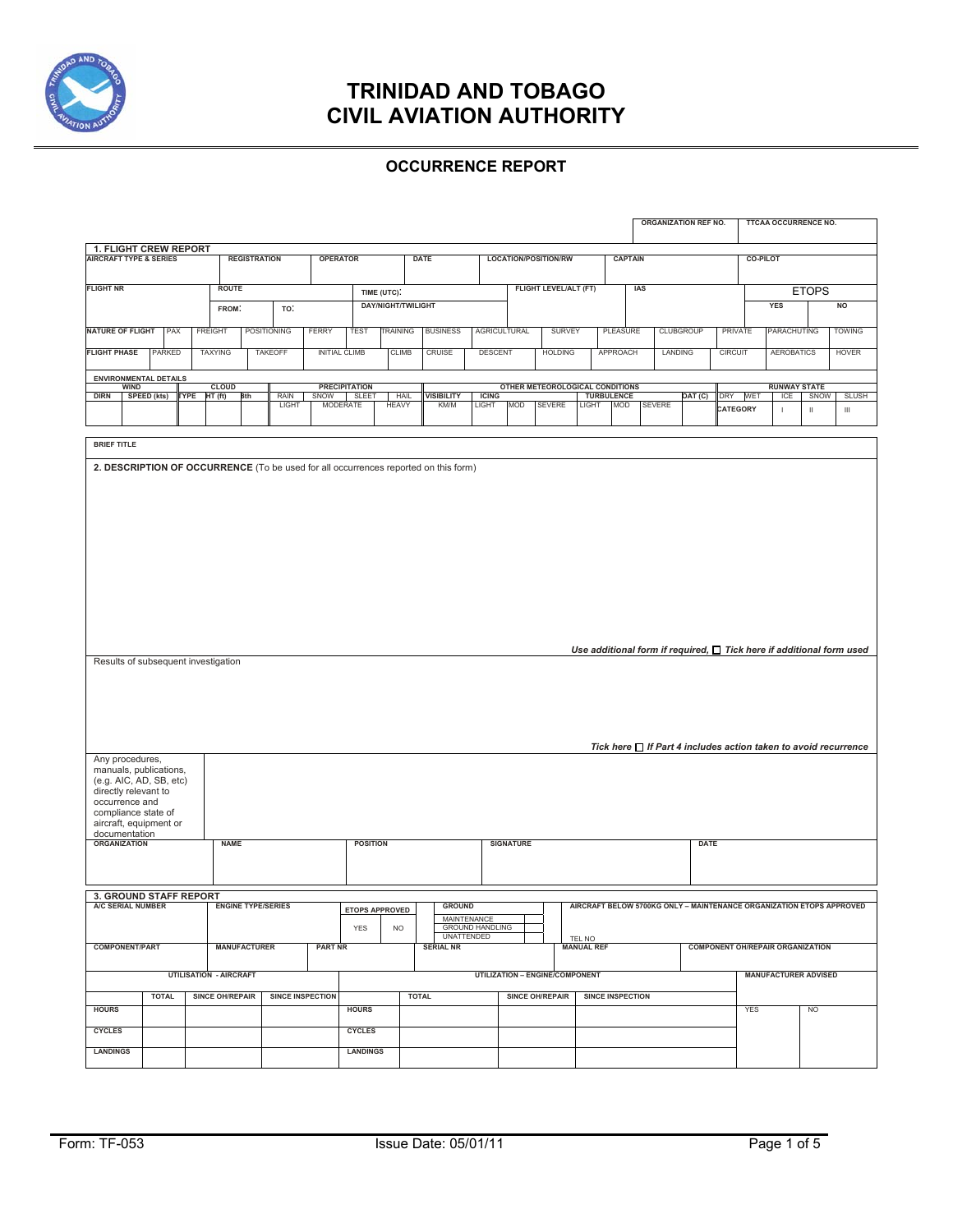

#### **OCCURRENCE REPORT**

|                                                                                                                          |                       |                                                                             |                     |                               |                                       |                         |                        |                           |                                    |              |                                                                             |                              |                                 |                        |                |                         |  | <b>ORGANIZATION REF NO.</b> |              |                                         |                 | <b>TTCAA OCCURRENCE NO.</b> |                     |                                                                           |
|--------------------------------------------------------------------------------------------------------------------------|-----------------------|-----------------------------------------------------------------------------|---------------------|-------------------------------|---------------------------------------|-------------------------|------------------------|---------------------------|------------------------------------|--------------|-----------------------------------------------------------------------------|------------------------------|---------------------------------|------------------------|----------------|-------------------------|--|-----------------------------|--------------|-----------------------------------------|-----------------|-----------------------------|---------------------|---------------------------------------------------------------------------|
| 1. FLIGHT CREW REPORT<br><b>AIRCRAFT TYPE &amp; SERIES</b>                                                               |                       |                                                                             | <b>REGISTRATION</b> |                               |                                       | <b>OPERATOR</b>         |                        |                           | <b>DATE</b>                        |              | LOCATION/POSITION/RW                                                        |                              |                                 |                        | <b>CAPTAIN</b> |                         |  | <b>CO-PILOT</b>             |              |                                         |                 |                             |                     |                                                                           |
|                                                                                                                          |                       |                                                                             |                     |                               |                                       |                         |                        |                           |                                    |              |                                                                             |                              |                                 |                        |                |                         |  |                             |              |                                         |                 |                             |                     |                                                                           |
| <b>FLIGHT NR</b>                                                                                                         |                       |                                                                             | <b>ROUTE</b>        |                               |                                       |                         | TIME (UTC).            |                           |                                    |              |                                                                             | <b>FLIGHT LEVEL/ALT (FT)</b> |                                 |                        |                | IAS                     |  |                             | <b>ETOPS</b> |                                         |                 |                             |                     |                                                                           |
|                                                                                                                          |                       |                                                                             | FROM:<br>TO:        |                               |                                       |                         |                        | <b>DAY/NIGHT/TWILIGHT</b> |                                    |              |                                                                             |                              |                                 |                        |                |                         |  | <b>YES</b><br><b>NO</b>     |              |                                         |                 |                             |                     |                                                                           |
|                                                                                                                          |                       |                                                                             |                     |                               |                                       |                         |                        |                           |                                    |              |                                                                             |                              |                                 |                        |                |                         |  |                             |              |                                         |                 |                             |                     |                                                                           |
| <b>NATURE OF FLIGHT</b>                                                                                                  |                       | PAX                                                                         |                     | <b>FREIGHT</b>                |                                       | <b>POSITIONING</b>      | <b>FERRY</b>           | <b>TEST</b>               | TRAINING                           |              | <b>BUSINESS</b>                                                             | <b>AGRICULTURAL</b>          |                                 | <b>SURVEY</b>          |                | <b>PLEASURE</b>         |  | <b>CLUBGROUP</b>            |              |                                         | <b>PRIVATE</b>  | PARACHUTING                 |                     | <b>TOWING</b>                                                             |
| <b>FLIGHT PHASE</b>                                                                                                      |                       | PARKED                                                                      |                     | <b>TAXYING</b>                |                                       | <b>TAKEOFF</b>          | <b>INITIAL CLIMB</b>   |                           | <b>CLIMB</b>                       |              | <b>CRUISE</b>                                                               | <b>DESCENT</b>               |                                 | <b>HOLDING</b>         |                | APPROACH                |  | LANDING                     |              | <b>CIRCUIT</b>                          |                 | <b>AEROBATICS</b>           |                     | <b>HOVER</b>                                                              |
|                                                                                                                          |                       | <b>ENVIRONMENTAL DETAILS</b>                                                |                     |                               |                                       |                         |                        |                           |                                    |              |                                                                             |                              |                                 |                        |                |                         |  |                             |              |                                         |                 |                             |                     |                                                                           |
|                                                                                                                          | <b>WIND</b>           |                                                                             |                     | <b>CLOUD</b>                  |                                       |                         | <b>PRECIPITATION</b>   |                           |                                    |              |                                                                             |                              | OTHER METEOROLOGICAL CONDITIONS |                        |                | <b>TURBULENCE</b>       |  |                             |              |                                         |                 | <b>RUNWAY STATE</b><br>ICE  |                     |                                                                           |
| <b>DIRN</b>                                                                                                              | SPEED (kts)           |                                                                             | <b>TYPE</b>         | HT (ft)                       | 8th                                   | RAIN<br>LIGHT           | SNOW SLEET<br>MODERATE |                           | HAIL<br><b>HEAVY</b>               |              | VISIBILITY<br>KM/M                                                          | <b>ICING</b><br>LIGHT        | MOD                             | SEVERE                 | <b>LIGHT</b>   | <b>MOD</b>              |  | <b>SEVERE</b>               | OAT (C)      | DRY                                     | WET<br>CATEGORY | I.                          | SNOW<br>$\mathbf H$ | <b>SLUSH</b><br>$\,$ III                                                  |
|                                                                                                                          |                       |                                                                             |                     |                               |                                       |                         |                        |                           |                                    |              |                                                                             |                              |                                 |                        |                |                         |  |                             |              |                                         |                 |                             |                     |                                                                           |
| <b>BRIEF TITLE</b>                                                                                                       |                       |                                                                             |                     |                               |                                       |                         |                        |                           |                                    |              |                                                                             |                              |                                 |                        |                |                         |  |                             |              |                                         |                 |                             |                     |                                                                           |
|                                                                                                                          |                       |                                                                             |                     |                               |                                       |                         |                        |                           |                                    |              |                                                                             |                              |                                 |                        |                |                         |  |                             |              |                                         |                 |                             |                     |                                                                           |
|                                                                                                                          |                       | Results of subsequent investigation                                         |                     |                               |                                       |                         |                        |                           |                                    |              |                                                                             |                              |                                 |                        |                |                         |  |                             |              |                                         |                 |                             |                     | Use additional form if required, $\Box$ Tick here if additional form used |
|                                                                                                                          |                       |                                                                             |                     |                               |                                       |                         |                        |                           |                                    |              |                                                                             |                              |                                 |                        |                |                         |  |                             |              |                                         |                 |                             |                     | Tick here $\Box$ If Part 4 includes action taken to avoid recurrence      |
| Any procedures,<br>directly relevant to<br>occurrence and<br>compliance state of<br>documentation<br><b>ORGANIZATION</b> |                       | manuals, publications,<br>(e.g. AIC, AD, SB, etc)<br>aircraft, equipment or |                     | <b>NAME</b>                   |                                       |                         |                        |                           | <b>POSITION</b>                    |              |                                                                             |                              | <b>SIGNATURE</b>                |                        |                |                         |  |                             | <b>DATE</b>  |                                         |                 |                             |                     |                                                                           |
|                                                                                                                          |                       |                                                                             |                     |                               |                                       |                         |                        |                           |                                    |              |                                                                             |                              |                                 |                        |                |                         |  |                             |              |                                         |                 |                             |                     |                                                                           |
|                                                                                                                          |                       | 3. GROUND STAFF REPORT                                                      |                     |                               |                                       |                         |                        |                           |                                    |              |                                                                             |                              |                                 |                        |                |                         |  |                             |              |                                         |                 |                             |                     |                                                                           |
| A/C SERIAL NUMBER                                                                                                        |                       |                                                                             |                     | <b>ENGINE TYPE/SERIES</b>     |                                       |                         |                        | YES                       | <b>ETOPS APPROVED</b><br><b>NO</b> |              | <b>GROUND</b><br>MAINTENANCE<br><b>GROUND HANDLING</b><br><b>UNATTENDED</b> |                              |                                 |                        |                |                         |  |                             |              |                                         |                 |                             |                     | AIRCRAFT BELOW 5700KG ONLY - MAINTENANCE ORGANIZATION ETOPS APPROVED      |
|                                                                                                                          | <b>COMPONENT/PART</b> |                                                                             |                     |                               | <b>MANUFACTURER</b><br><b>PART NR</b> |                         |                        |                           | <b>SERIAL NR</b>                   |              |                                                                             |                              | TEL NO<br><b>MANUAL REF</b>     |                        |                |                         |  |                             |              | <b>COMPONENT OH/REPAIR ORGANIZATION</b> |                 |                             |                     |                                                                           |
|                                                                                                                          |                       |                                                                             |                     | <b>UTILISATION - AIRCRAFT</b> |                                       |                         |                        |                           |                                    |              |                                                                             |                              | UTILIZATION - ENGINE/COMPONENT  |                        |                |                         |  |                             |              |                                         |                 | <b>MANUFACTURER ADVISED</b> |                     |                                                                           |
| <b>HOURS</b>                                                                                                             |                       | <b>TOTAL</b>                                                                |                     | <b>SINCE OH/REPAIR</b>        |                                       | <b>SINCE INSPECTION</b> |                        | <b>HOURS</b>              |                                    | <b>TOTAL</b> |                                                                             |                              |                                 | <b>SINCE OH/REPAIR</b> |                | <b>SINCE INSPECTION</b> |  |                             |              |                                         | <b>YES</b>      |                             | <b>NO</b>           |                                                                           |
| <b>CYCLES</b>                                                                                                            |                       |                                                                             |                     |                               |                                       |                         |                        | <b>CYCLES</b>             |                                    |              |                                                                             |                              |                                 |                        |                |                         |  |                             |              |                                         |                 |                             |                     |                                                                           |
| <b>LANDINGS</b>                                                                                                          |                       |                                                                             |                     |                               |                                       |                         |                        | <b>LANDINGS</b>           |                                    |              |                                                                             |                              |                                 |                        |                |                         |  |                             |              |                                         |                 |                             |                     |                                                                           |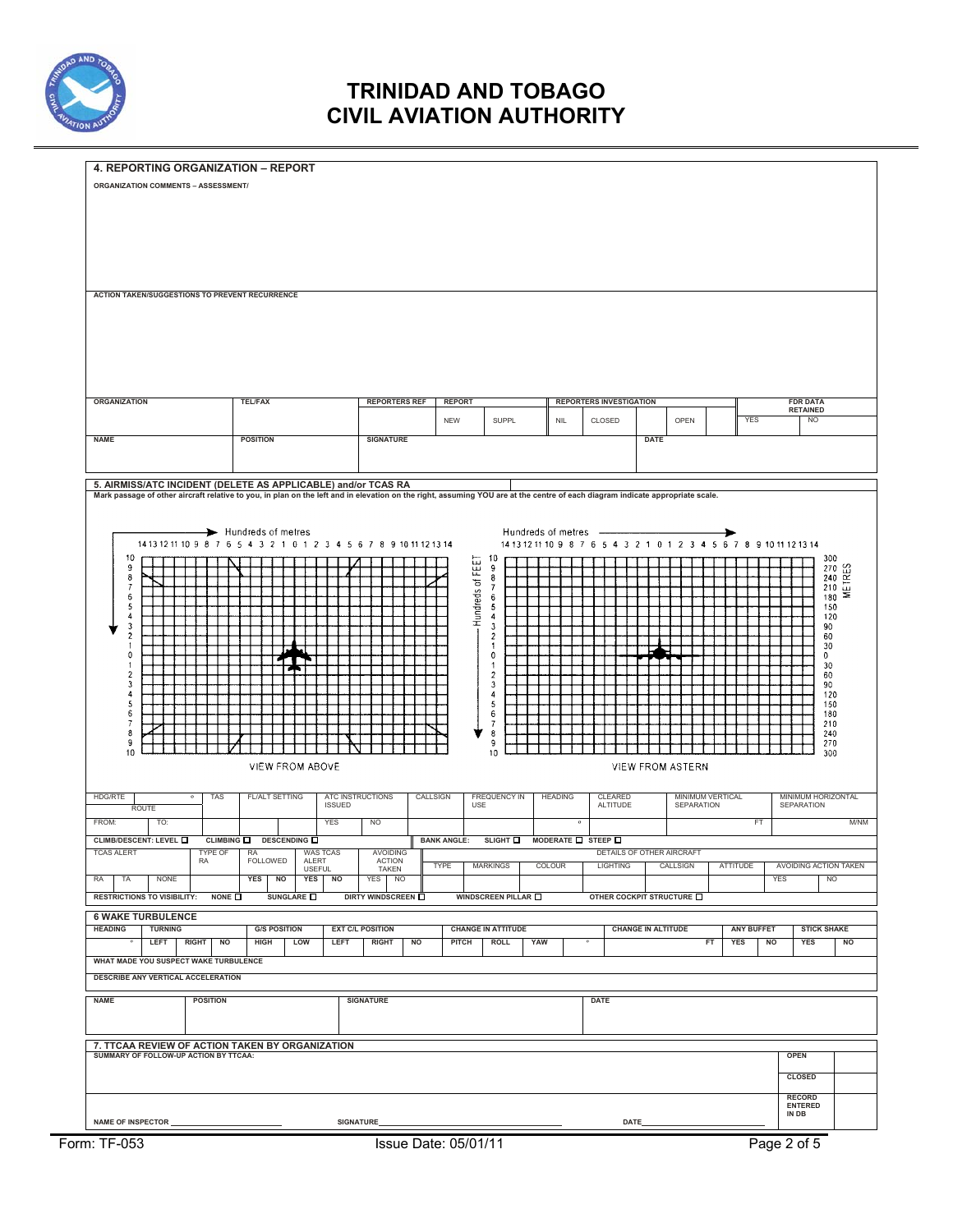

| 4. REPORTING ORGANIZATION - REPORT                                                                                                                                            |                                                                    |                               |                                        |                                              |                                                                     |                   |                                                                |  |  |  |  |  |  |
|-------------------------------------------------------------------------------------------------------------------------------------------------------------------------------|--------------------------------------------------------------------|-------------------------------|----------------------------------------|----------------------------------------------|---------------------------------------------------------------------|-------------------|----------------------------------------------------------------|--|--|--|--|--|--|
| <b>ORGANIZATION COMMENTS - ASSESSMENT/</b>                                                                                                                                    |                                                                    |                               |                                        |                                              |                                                                     |                   |                                                                |  |  |  |  |  |  |
|                                                                                                                                                                               |                                                                    |                               |                                        |                                              |                                                                     |                   |                                                                |  |  |  |  |  |  |
|                                                                                                                                                                               |                                                                    |                               |                                        |                                              |                                                                     |                   |                                                                |  |  |  |  |  |  |
|                                                                                                                                                                               |                                                                    |                               |                                        |                                              |                                                                     |                   |                                                                |  |  |  |  |  |  |
|                                                                                                                                                                               |                                                                    |                               |                                        |                                              |                                                                     |                   |                                                                |  |  |  |  |  |  |
|                                                                                                                                                                               |                                                                    |                               |                                        |                                              |                                                                     |                   |                                                                |  |  |  |  |  |  |
|                                                                                                                                                                               |                                                                    |                               |                                        |                                              |                                                                     |                   |                                                                |  |  |  |  |  |  |
| ACTION TAKEN/SUGGESTIONS TO PREVENT RECURRENCE                                                                                                                                |                                                                    |                               |                                        |                                              |                                                                     |                   |                                                                |  |  |  |  |  |  |
|                                                                                                                                                                               |                                                                    |                               |                                        |                                              |                                                                     |                   |                                                                |  |  |  |  |  |  |
|                                                                                                                                                                               |                                                                    |                               |                                        |                                              |                                                                     |                   |                                                                |  |  |  |  |  |  |
|                                                                                                                                                                               |                                                                    |                               |                                        |                                              |                                                                     |                   |                                                                |  |  |  |  |  |  |
|                                                                                                                                                                               |                                                                    |                               |                                        |                                              |                                                                     |                   |                                                                |  |  |  |  |  |  |
|                                                                                                                                                                               |                                                                    |                               |                                        |                                              |                                                                     |                   |                                                                |  |  |  |  |  |  |
|                                                                                                                                                                               |                                                                    |                               |                                        |                                              |                                                                     |                   |                                                                |  |  |  |  |  |  |
| <b>ORGANIZATION</b>                                                                                                                                                           | <b>TEL/FAX</b>                                                     | <b>REPORTERS REF</b>          | <b>REPORT</b>                          | <b>REPORTERS INVESTIGATION</b>               |                                                                     |                   | <b>FDR DATA</b><br><b>RETAINED</b>                             |  |  |  |  |  |  |
|                                                                                                                                                                               |                                                                    |                               | SUPPL<br><b>NEW</b>                    | CLOSED<br><b>NIL</b>                         | OPEN                                                                | <b>YES</b>        | <b>NO</b>                                                      |  |  |  |  |  |  |
| <b>NAME</b>                                                                                                                                                                   | <b>POSITION</b>                                                    | <b>SIGNATURE</b>              |                                        |                                              | <b>DATE</b>                                                         |                   |                                                                |  |  |  |  |  |  |
|                                                                                                                                                                               |                                                                    |                               |                                        |                                              |                                                                     |                   |                                                                |  |  |  |  |  |  |
|                                                                                                                                                                               |                                                                    |                               |                                        |                                              |                                                                     |                   |                                                                |  |  |  |  |  |  |
| 5. AIRMISS/ATC INCIDENT (DELETE AS APPLICABLE) and/or TCAS RA                                                                                                                 |                                                                    |                               |                                        |                                              |                                                                     |                   |                                                                |  |  |  |  |  |  |
| Mark passage of other aircraft relative to you, in plan on the left and in elevation on the right, assuming YOU are at the centre of each diagram indicate appropriate scale. |                                                                    |                               |                                        |                                              |                                                                     |                   |                                                                |  |  |  |  |  |  |
|                                                                                                                                                                               |                                                                    |                               |                                        |                                              |                                                                     |                   |                                                                |  |  |  |  |  |  |
| Hundreds of metres<br>Hundreds of metres -                                                                                                                                    |                                                                    |                               |                                        |                                              |                                                                     |                   |                                                                |  |  |  |  |  |  |
|                                                                                                                                                                               | 1413 12 11 10 9 8 7 6 5 4 3 2 1 0 1 2 3 4 5 6 7 8 9 10 11 12 13 14 |                               |                                        |                                              | 14 13 12 11 10 9 8 7 6 5 4 3 2 1 0 1 2 3 4 5 6 7 8 9 10 11 12 13 14 |                   |                                                                |  |  |  |  |  |  |
| 10<br>9                                                                                                                                                                       |                                                                    |                               | 10<br><b>FEET</b><br>9                 |                                              |                                                                     |                   | 300                                                            |  |  |  |  |  |  |
| 8                                                                                                                                                                             |                                                                    |                               | 8<br>$\overline{\circ}$                |                                              |                                                                     |                   | $\begin{array}{c} 270 \\ 240 \\ 240 \\ 210 \\ 180 \end{array}$ |  |  |  |  |  |  |
| $\overline{I}$<br>6                                                                                                                                                           |                                                                    |                               | $\boldsymbol{7}$<br>6                  |                                              |                                                                     |                   | 180                                                            |  |  |  |  |  |  |
| $\sqrt{5}$<br>4                                                                                                                                                               |                                                                    |                               | Hundreds<br>5<br>4                     |                                              |                                                                     |                   | 150<br>120                                                     |  |  |  |  |  |  |
| 3                                                                                                                                                                             |                                                                    |                               | 3                                      |                                              |                                                                     |                   | 90                                                             |  |  |  |  |  |  |
| $\overline{\mathbf{c}}$<br>$\overline{1}$                                                                                                                                     |                                                                    |                               | $\overline{2}$<br>1                    |                                              |                                                                     |                   | 60<br>30                                                       |  |  |  |  |  |  |
| 0                                                                                                                                                                             |                                                                    |                               | $\pmb{\mathsf{0}}$                     |                                              |                                                                     |                   | 0                                                              |  |  |  |  |  |  |
| -1<br>$\overline{\mathbf{c}}$                                                                                                                                                 |                                                                    |                               | 1<br>$\overline{c}$                    |                                              |                                                                     |                   | 30<br>60                                                       |  |  |  |  |  |  |
| 3<br>4                                                                                                                                                                        |                                                                    |                               | 3<br>4                                 |                                              |                                                                     |                   | 90<br>120                                                      |  |  |  |  |  |  |
| 5                                                                                                                                                                             |                                                                    |                               | 5                                      |                                              |                                                                     |                   | 150                                                            |  |  |  |  |  |  |
| $\,6$<br>$\boldsymbol{7}$                                                                                                                                                     |                                                                    |                               | $\boldsymbol{6}$<br>$\overline{I}$     |                                              |                                                                     |                   | 180<br>210                                                     |  |  |  |  |  |  |
| 8<br>9                                                                                                                                                                        |                                                                    |                               | 8<br>9                                 |                                              |                                                                     |                   | 240<br>270                                                     |  |  |  |  |  |  |
| 10                                                                                                                                                                            |                                                                    |                               | 10                                     |                                              |                                                                     |                   | 300                                                            |  |  |  |  |  |  |
|                                                                                                                                                                               | VIEW FROM ABOVE                                                    |                               |                                        |                                              | VIEW FROM ASTERN                                                    |                   |                                                                |  |  |  |  |  |  |
|                                                                                                                                                                               |                                                                    |                               |                                        |                                              |                                                                     |                   |                                                                |  |  |  |  |  |  |
| <b>HDG/RTE</b><br><b>TAS</b><br>$\circ$<br><b>ROUTE</b>                                                                                                                       | <b>FL/ALT SETTING</b><br><b>ISSUED</b>                             | ATC INSTRUCTIONS              | CALLSIGN<br><b>FREQUENCY IN</b><br>USE | <b>HEADING</b><br>CLEARED<br><b>ALTITUDE</b> | MINIMUM VERTICAL<br>SEPARATION                                      | SEPARATION        | MINIMUM HORIZONTAL                                             |  |  |  |  |  |  |
| FROM:<br>TO:                                                                                                                                                                  | <b>YES</b>                                                         | NO                            |                                        |                                              |                                                                     | FT                | M/NM                                                           |  |  |  |  |  |  |
| CLIMB/DESCENT: LEVEL <b>O</b>                                                                                                                                                 | CLIMBING O DESCENDING O                                            |                               | <b>BANK ANGLE:</b>                     | SLIGHT I MODERATE IS TEEP I                  |                                                                     |                   |                                                                |  |  |  |  |  |  |
| <b>TCAS ALERT</b><br>TYPE OF                                                                                                                                                  | WAS TCAS                                                           | <b>AVOIDING</b>               |                                        |                                              | DETAILS OF OTHER AIRCRAFT                                           |                   |                                                                |  |  |  |  |  |  |
| RA                                                                                                                                                                            | RA<br>FOLLOWED<br>ALERT<br><b>USEFUL</b>                           | <b>ACTION</b><br><b>TAKEN</b> | <b>TYPE</b><br><b>MARKINGS</b>         | COLOUR<br><b>LIGHTING</b>                    | CALLSIGN                                                            | ATTITUDE          | AVOIDING ACTION TAKEN                                          |  |  |  |  |  |  |
| <b>NONE</b><br>RA<br>TA                                                                                                                                                       | NO<br>NO<br><b>YES</b><br>YES                                      | <b>NO</b><br><b>YES</b>       |                                        |                                              |                                                                     | <b>YES</b>        | N <sub>O</sub>                                                 |  |  |  |  |  |  |
| <b>RESTRICTIONS TO VISIBILITY:</b><br>NONE O                                                                                                                                  | SUNGLARE <b>O</b>                                                  | DIRTY WINDSCREEN O            | WINDSCREEN PILLAR O                    |                                              | OTHER COCKPIT STRUCTURE O                                           |                   |                                                                |  |  |  |  |  |  |
| <b>6 WAKE TURBULENCE</b>                                                                                                                                                      |                                                                    |                               |                                        |                                              |                                                                     |                   |                                                                |  |  |  |  |  |  |
| <b>HEADING</b><br><b>TURNING</b>                                                                                                                                              | <b>G/S POSITION</b>                                                | <b>EXT C/L POSITION</b>       | <b>CHANGE IN ATTITUDE</b>              |                                              | <b>CHANGE IN ALTITUDE</b>                                           | <b>ANY BUFFET</b> | <b>STICK SHAKE</b>                                             |  |  |  |  |  |  |
| LEFT<br><b>RIGHT</b><br><b>NO</b>                                                                                                                                             | <b>LOW</b><br>HIGH<br>LEFT                                         | <b>RIGHT</b><br><b>NO</b>     | <b>PITCH</b><br><b>ROLL</b><br>YAW     |                                              | FT                                                                  | <b>YES</b><br>NO  | YES<br><b>NO</b>                                               |  |  |  |  |  |  |
| WHAT MADE YOU SUSPECT WAKE TURBULENCE                                                                                                                                         |                                                                    |                               |                                        |                                              |                                                                     |                   |                                                                |  |  |  |  |  |  |
| DESCRIBE ANY VERTICAL ACCELERATION                                                                                                                                            |                                                                    |                               |                                        |                                              |                                                                     |                   |                                                                |  |  |  |  |  |  |
|                                                                                                                                                                               |                                                                    |                               |                                        |                                              |                                                                     |                   |                                                                |  |  |  |  |  |  |
| <b>POSITION</b><br><b>SIGNATURE</b><br><b>NAME</b><br><b>DATE</b>                                                                                                             |                                                                    |                               |                                        |                                              |                                                                     |                   |                                                                |  |  |  |  |  |  |
|                                                                                                                                                                               |                                                                    |                               |                                        |                                              |                                                                     |                   |                                                                |  |  |  |  |  |  |
|                                                                                                                                                                               |                                                                    |                               |                                        |                                              |                                                                     |                   |                                                                |  |  |  |  |  |  |
| 7. TTCAA REVIEW OF ACTION TAKEN BY ORGANIZATION<br>SUMMARY OF FOLLOW-UP ACTION BY TTCAA:<br><b>OPEN</b>                                                                       |                                                                    |                               |                                        |                                              |                                                                     |                   |                                                                |  |  |  |  |  |  |
|                                                                                                                                                                               |                                                                    |                               |                                        |                                              |                                                                     |                   |                                                                |  |  |  |  |  |  |
|                                                                                                                                                                               |                                                                    |                               |                                        |                                              |                                                                     | <b>CLOSED</b>     |                                                                |  |  |  |  |  |  |
|                                                                                                                                                                               |                                                                    |                               |                                        |                                              |                                                                     | <b>RECORD</b>     |                                                                |  |  |  |  |  |  |
| <b>ENTERED</b><br>IN DB<br><b>SIGNATURE</b><br><b>NAME OF INSPECTOR</b><br>DATE                                                                                               |                                                                    |                               |                                        |                                              |                                                                     |                   |                                                                |  |  |  |  |  |  |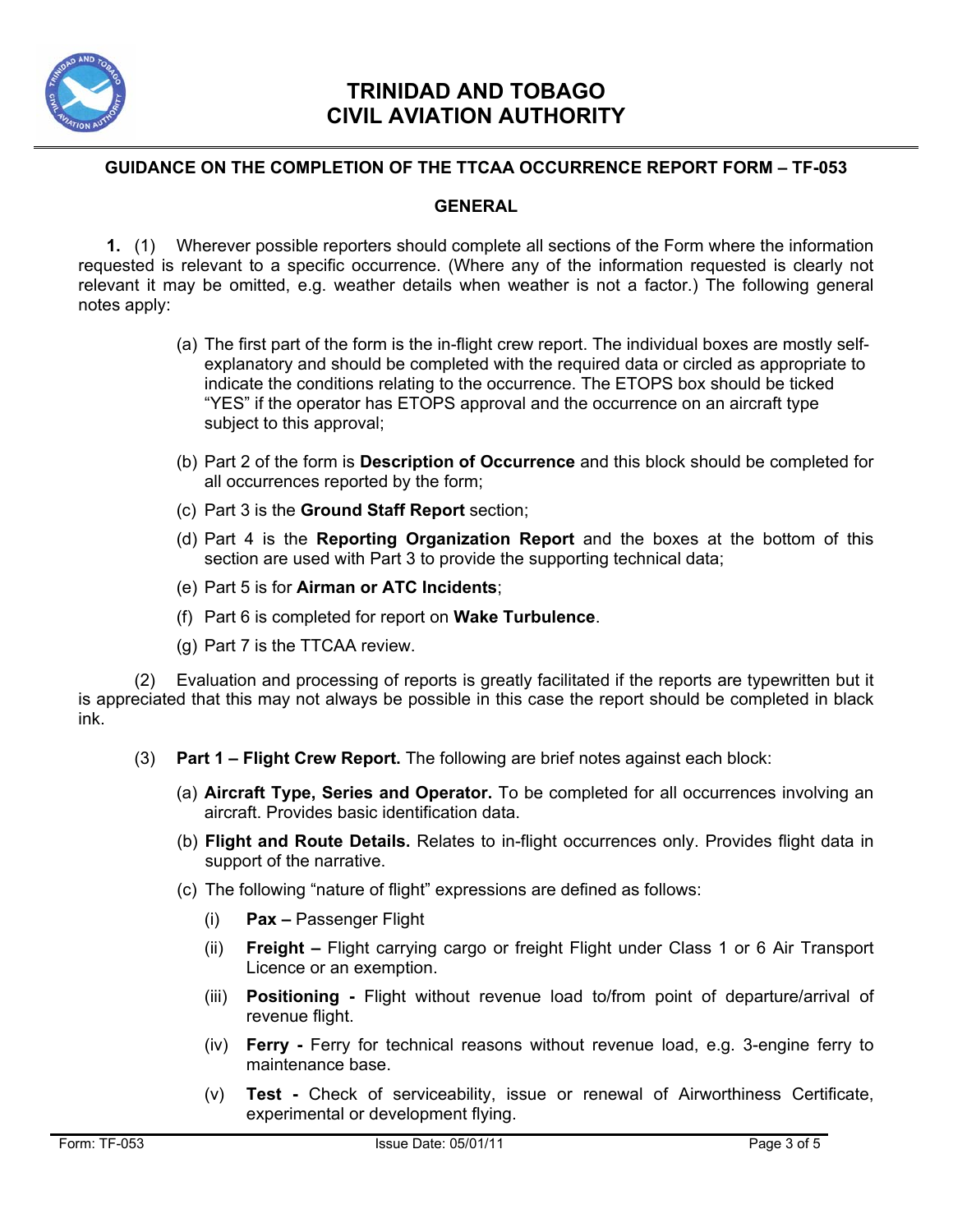

#### **GUIDANCE ON THE COMPLETION OF THE TTCAA OCCURRENCE REPORT FORM – TF-053**

#### **GENERAL**

**1.** (1) Wherever possible reporters should complete all sections of the Form where the information requested is relevant to a specific occurrence. (Where any of the information requested is clearly not relevant it may be omitted, e.g. weather details when weather is not a factor.) The following general notes apply:

- (a) The first part of the form is the in-flight crew report. The individual boxes are mostly selfexplanatory and should be completed with the required data or circled as appropriate to indicate the conditions relating to the occurrence. The ETOPS box should be ticked "YES" if the operator has ETOPS approval and the occurrence on an aircraft type subject to this approval;
- (b) Part 2 of the form is **Description of Occurrence** and this block should be completed for all occurrences reported by the form;
- (c) Part 3 is the **Ground Staff Report** section;
- (d) Part 4 is the **Reporting Organization Report** and the boxes at the bottom of this section are used with Part 3 to provide the supporting technical data;
- (e) Part 5 is for **Airman or ATC Incidents**;
- (f) Part 6 is completed for report on **Wake Turbulence**.
- (g) Part 7 is the TTCAA review.

(2) Evaluation and processing of reports is greatly facilitated if the reports are typewritten but it is appreciated that this may not always be possible in this case the report should be completed in black ink.

- (3) **Part 1 Flight Crew Report.** The following are brief notes against each block:
	- (a) **Aircraft Type, Series and Operator.** To be completed for all occurrences involving an aircraft. Provides basic identification data.
	- (b) **Flight and Route Details.** Relates to in-flight occurrences only. Provides flight data in support of the narrative.
	- (c) The following "nature of flight" expressions are defined as follows:
		- (i) **Pax** Passenger Flight
		- (ii) **Freight** Flight carrying cargo or freight Flight under Class 1 or 6 Air Transport Licence or an exemption.
		- (iii) **Positioning** Flight without revenue load to/from point of departure/arrival of revenue flight.
		- (iv) **Ferry** Ferry for technical reasons without revenue load, e.g. 3-engine ferry to maintenance base.
		- (v) **Test** Check of serviceability, issue or renewal of Airworthiness Certificate, experimental or development flying.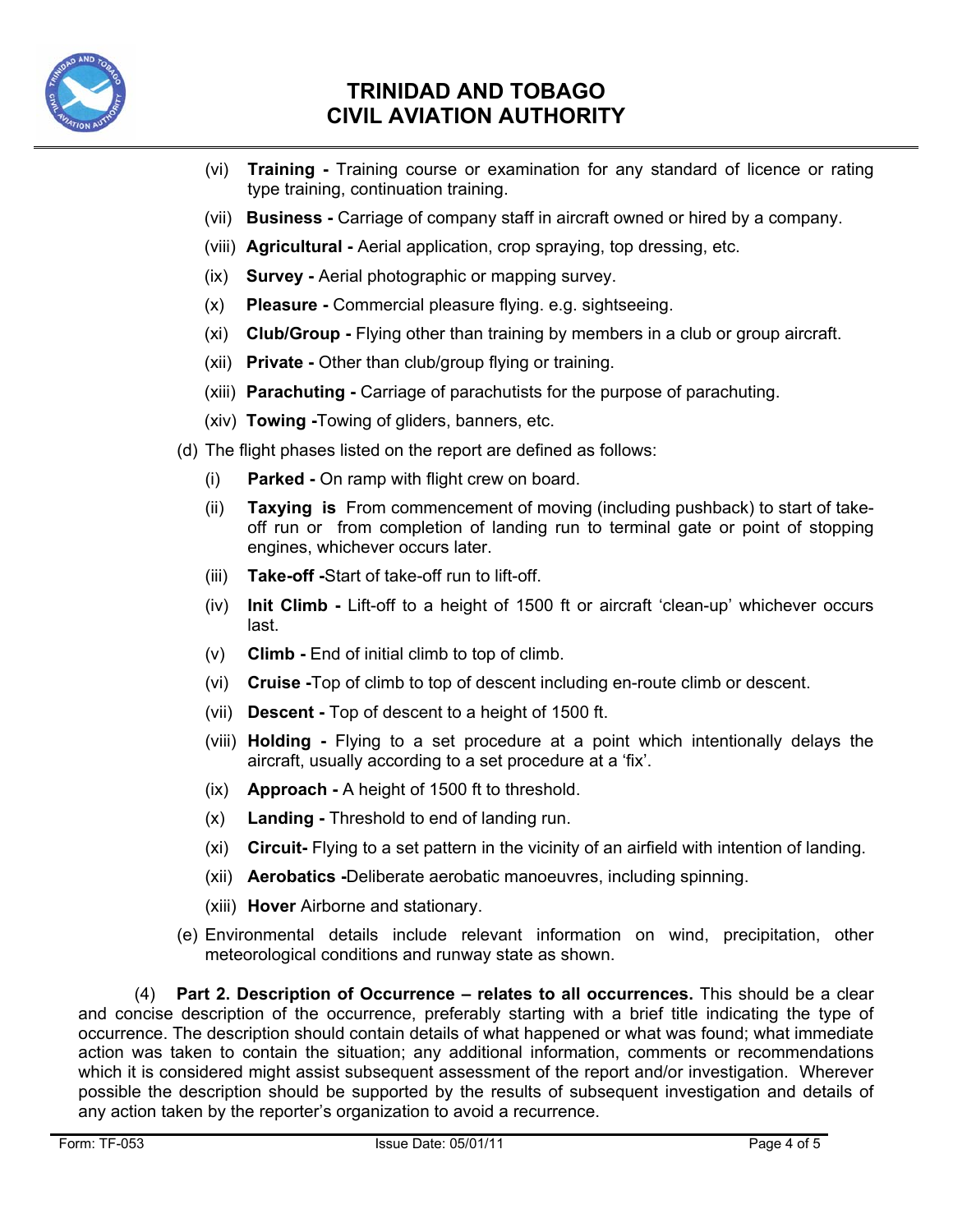

- (vi) **Training** Training course or examination for any standard of licence or rating type training, continuation training.
- (vii) **Business** Carriage of company staff in aircraft owned or hired by a company.
- (viii) **Agricultural** Aerial application, crop spraying, top dressing, etc.
- (ix) **Survey** Aerial photographic or mapping survey.
- (x) **Pleasure** Commercial pleasure flying. e.g. sightseeing.
- (xi) **Club/Group** Flying other than training by members in a club or group aircraft.
- (xii) **Private** Other than club/group flying or training.
- (xiii) **Parachuting** Carriage of parachutists for the purpose of parachuting.
- (xiv) **Towing -**Towing of gliders, banners, etc.
- (d) The flight phases listed on the report are defined as follows:
	- (i) **Parked** On ramp with flight crew on board.
	- (ii) **Taxying is** From commencement of moving (including pushback) to start of takeoff run or from completion of landing run to terminal gate or point of stopping engines, whichever occurs later.
	- (iii) **Take-off -**Start of take-off run to lift-off.
	- (iv) **Init Climb** Lift-off to a height of 1500 ft or aircraft 'clean-up' whichever occurs last.
	- (v) **Climb** End of initial climb to top of climb.
	- (vi) **Cruise -**Top of climb to top of descent including en-route climb or descent.
	- (vii) **Descent** Top of descent to a height of 1500 ft.
	- (viii) **Holding** Flying to a set procedure at a point which intentionally delays the aircraft, usually according to a set procedure at a 'fix'.
	- (ix) **Approach** A height of 1500 ft to threshold.
	- (x) **Landing** Threshold to end of landing run.
	- (xi) **Circuit-** Flying to a set pattern in the vicinity of an airfield with intention of landing.
	- (xii) **Aerobatics -**Deliberate aerobatic manoeuvres, including spinning.
	- (xiii) **Hover** Airborne and stationary.
- (e) Environmental details include relevant information on wind, precipitation, other meteorological conditions and runway state as shown.

(4) **Part 2. Description of Occurrence – relates to all occurrences.** This should be a clear and concise description of the occurrence, preferably starting with a brief title indicating the type of occurrence. The description should contain details of what happened or what was found; what immediate action was taken to contain the situation; any additional information, comments or recommendations which it is considered might assist subsequent assessment of the report and/or investigation. Wherever possible the description should be supported by the results of subsequent investigation and details of any action taken by the reporter's organization to avoid a recurrence.